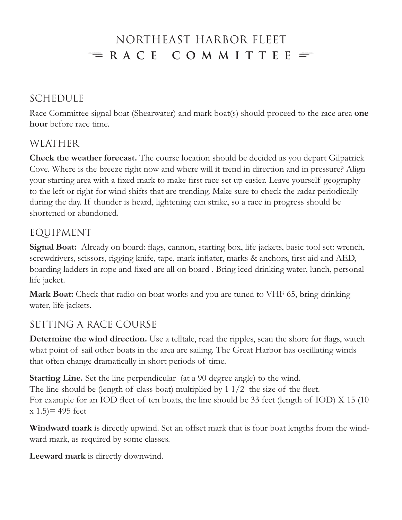### Northeast Harbor Fleet  $\equiv$  RACE COMMITTEE  $\equiv$

#### Schedule

Race Committee signal boat (Shearwater) and mark boat(s) should proceed to the race area **one hour** before race time.

#### **WEATHER**

**Check the weather forecast.** The course location should be decided as you depart Gilpatrick Cove. Where is the breeze right now and where will it trend in direction and in pressure? Align your starting area with a fixed mark to make first race set up easier. Leave yourself geography to the left or right for wind shifts that are trending. Make sure to check the radar periodically during the day. If thunder is heard, lightening can strike, so a race in progress should be shortened or abandoned.

### Equipment

**Signal Boat:** Already on board: flags, cannon, starting box, life jackets, basic tool set: wrench, screwdrivers, scissors, rigging knife, tape, mark inflater, marks & anchors, first aid and AED, boarding ladders in rope and fixed are all on board . Bring iced drinking water, lunch, personal life jacket.

**Mark Boat:** Check that radio on boat works and you are tuned to VHF 65, bring drinking water, life jackets.

### Setting a Race Course

**Determine the wind direction.** Use a telltale, read the ripples, scan the shore for flags, watch what point of sail other boats in the area are sailing. The Great Harbor has oscillating winds that often change dramatically in short periods of time.

**Starting Line.** Set the line perpendicular (at a 90 degree angle) to the wind. The line should be (length of class boat) multiplied by 1 1/2 the size of the fleet. For example for an IOD fleet of ten boats, the line should be 33 feet (length of IOD) X 15 (10  $(x 1.5) = 495$  feet

**Windward mark** is directly upwind. Set an offset mark that is four boat lengths from the windward mark, as required by some classes.

**Leeward mark** is directly downwind.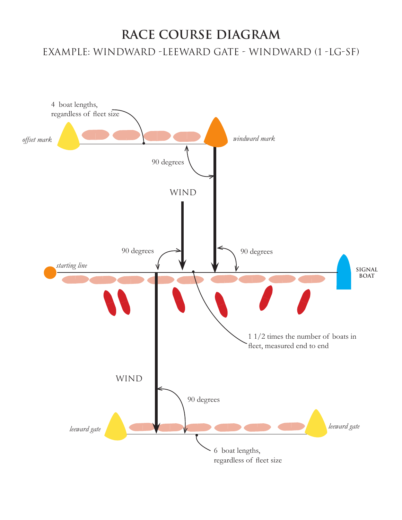# **race course diagram** Example: Windward -Leeward gate - windward (1 -LG-SF)

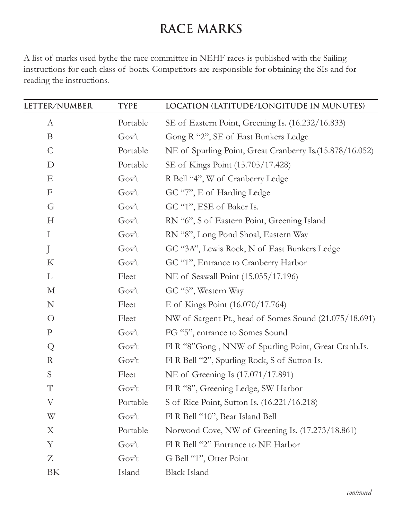### **Race marks**

A list of marks used bythe the race committee in NEHF races is published with the Sailing instructions for each class of boats. Competitors are responsible for obtaining the SIs and for reading the instructions.

| LETTER/NUMBER | <b>TYPE</b> | LOCATION (LATITUDE/LONGITUDE IN MUNUTES)                 |  |
|---------------|-------------|----------------------------------------------------------|--|
| $\mathbf{A}$  | Portable    | SE of Eastern Point, Greening Is. (16.232/16.833)        |  |
| B             | Gov't       | Gong R "2", SE of East Bunkers Ledge                     |  |
| $\mathsf{C}$  | Portable    | NE of Spurling Point, Great Cranberry Is.(15.878/16.052) |  |
| D             | Portable    | SE of Kings Point (15.705/17.428)                        |  |
| E             | Gov't       | R Bell "4", W of Cranberry Ledge                         |  |
| F             | Gov't       | GC "7", E of Harding Ledge                               |  |
| G             | Gov't       | GC "1", ESE of Baker Is.                                 |  |
| H             | Gov't       | RN "6", S of Eastern Point, Greening Island              |  |
| $\bf{I}$      | Gov't       | RN "8", Long Pond Shoal, Eastern Way                     |  |
| J             | Gov't       | GC "3A", Lewis Rock, N of East Bunkers Ledge             |  |
| K             | Gov't       | GC "1", Entrance to Cranberry Harbor                     |  |
| L             | Fleet       | NE of Seawall Point (15.055/17.196)                      |  |
| $\mathbf{M}$  | Gov't       | GC "5", Western Way                                      |  |
| ${\bf N}$     | Fleet       | E of Kings Point (16.070/17.764)                         |  |
| $\bigcirc$    | Fleet       | NW of Sargent Pt., head of Somes Sound (21.075/18.691)   |  |
| ${\bf P}$     | Gov't       | FG "5", entrance to Somes Sound                          |  |
| Q             | Gov't       | Fl R "8"Gong, NNW of Spurling Point, Great Cranb.Is.     |  |
| $\mathbf R$   | Gov't       | Fl R Bell "2", Spurling Rock, S of Sutton Is.            |  |
| S             | Fleet       | NE of Greening Is (17.071/17.891)                        |  |
| $\mathbf T$   | Gov't       | Fl R "8", Greening Ledge, SW Harbor                      |  |
| $\rm V$       | Portable    | S of Rice Point, Sutton Is. (16.221/16.218)              |  |
| W             | Gov't       | Fl R Bell "10", Bear Island Bell                         |  |
| X             | Portable    | Norwood Cove, NW of Greening Is. (17.273/18.861)         |  |
| Y             | Gov't       | Fl R Bell "2" Entrance to NE Harbor                      |  |
| Z             | Gov't       | G Bell "1", Otter Point                                  |  |
| BK            | Island      | <b>Black Island</b>                                      |  |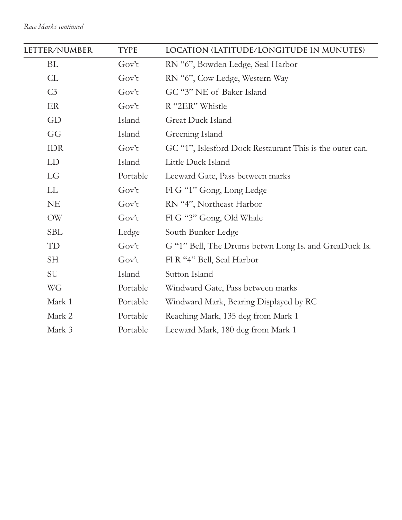| LETTER/NUMBER  | <b>TYPE</b> | LOCATION (LATITUDE/LONGITUDE IN MUNUTES)                 |
|----------------|-------------|----------------------------------------------------------|
| BL             | Gov't       | RN "6", Bowden Ledge, Seal Harbor                        |
| CL             | Gov't       | RN "6", Cow Ledge, Western Way                           |
| C <sub>3</sub> | Gov't       | GC "3" NE of Baker Island                                |
| ER             | Gov't       | R "2ER" Whistle                                          |
| GD             | Island      | <b>Great Duck Island</b>                                 |
| GG             | Island      | Greening Island                                          |
| <b>IDR</b>     | Gov't       | GC "1", Islesford Dock Restaurant This is the outer can. |
| LD             | Island      | Little Duck Island                                       |
| LG             | Portable    | Leeward Gate, Pass between marks                         |
| LL             | Gov't       | Fl G "1" Gong, Long Ledge                                |
| <b>NE</b>      | Gov't       | RN "4", Northeast Harbor                                 |
| OW             | Gov't       | Fl G "3" Gong, Old Whale                                 |
| <b>SBL</b>     | Ledge       | South Bunker Ledge                                       |
| TD             | Gov't       | G "1" Bell, The Drums betwn Long Is. and GreaDuck Is.    |
| <b>SH</b>      | Gov't       | Fl R "4" Bell, Seal Harbor                               |
| SU             | Island      | Sutton Island                                            |
| WG             | Portable    | Windward Gate, Pass between marks                        |
| Mark 1         | Portable    | Windward Mark, Bearing Displayed by RC                   |
| Mark 2         | Portable    | Reaching Mark, 135 deg from Mark 1                       |
| Mark 3         | Portable    | Leeward Mark, 180 deg from Mark 1                        |

-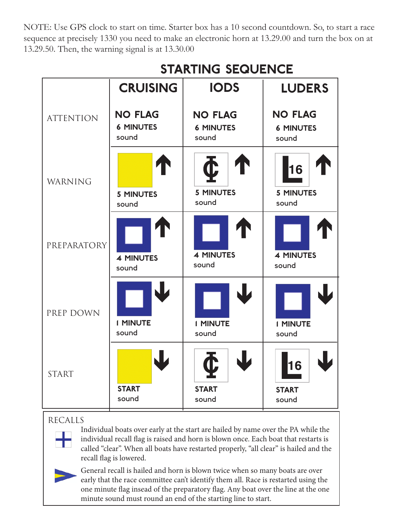NOTE: Use GPS clock to start on time. Starter box has a 10 second countdown. So, to start a race sequence at precisely 1330 you need to make an electronic horn at 13.29.00 and turn the box on at 13.29.50. Then, the warning signal is at 13.30.00

|                  | <b>CRUISING</b>           | <b>IODS</b>                               | <b>LUDERS</b>                   |
|------------------|---------------------------|-------------------------------------------|---------------------------------|
| <b>ATTENTION</b> | <b>NO FLAG</b>            | <b>NO FLAG</b>                            | <b>NO FLAG</b>                  |
|                  | <b>6 MINUTES</b>          | <b>6 MINUTES</b>                          | <b>6 MINUTES</b>                |
|                  | sound                     | sound                                     | sound                           |
| WARNING          | <b>5 MINUTES</b><br>sound | $\mathbf{C}$<br><b>5 MINUTES</b><br>sound | 16<br><b>5 MINUTES</b><br>sound |
| PREPARATORY      | <b>4 MINUTES</b>          | <b>4 MINUTES</b>                          | <b>4 MINUTES</b>                |
|                  | sound                     | sound                                     | sound                           |
| PREP DOWN        | <b>I MINUTE</b>           | <b>I MINUTE</b>                           | <b>I MINUTE</b>                 |
|                  | sound                     | sound                                     | sound                           |
| <b>START</b>     | <b>START</b><br>sound     | <b>START</b><br>sound                     | 16<br><b>START</b><br>sound     |

# **starting sequence**

#### recalls

Individual boats over early at the start are hailed by name over the PA while the individual recall flag is raised and horn is blown once. Each boat that restarts is called "clear". When all boats have restarted properly, "all clear" is hailed and the recall flag is lowered.



General recall is hailed and horn is blown twice when so many boats are over early that the race committee can't identify them all. Race is restarted using the one minute flag insead of the preparatory flag. Any boat over the line at the one minute sound must round an end of the starting line to start.